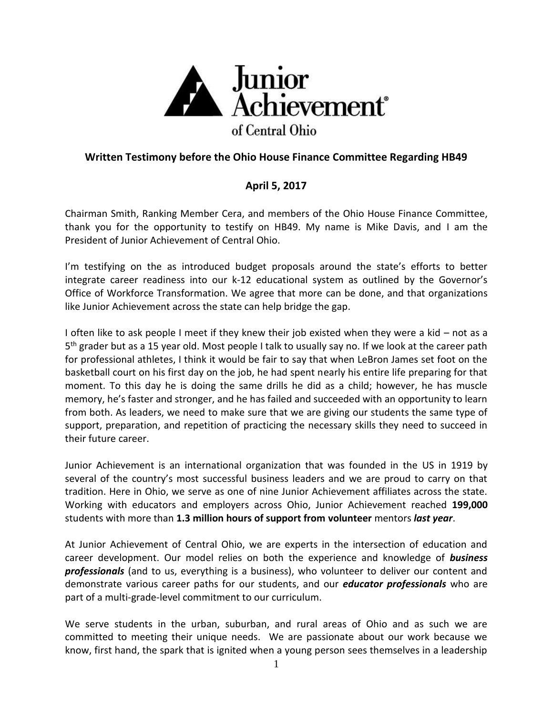

## **Written Testimony before the Ohio House Finance Committee Regarding HB49**

## **April 5, 2017**

Chairman Smith, Ranking Member Cera, and members of the Ohio House Finance Committee, thank you for the opportunity to testify on HB49. My name is Mike Davis, and I am the President of Junior Achievement of Central Ohio.

I'm testifying on the as introduced budget proposals around the state's efforts to better integrate career readiness into our k-12 educational system as outlined by the Governor's Office of Workforce Transformation. We agree that more can be done, and that organizations like Junior Achievement across the state can help bridge the gap.

I often like to ask people I meet if they knew their job existed when they were a kid – not as a 5<sup>th</sup> grader but as a 15 year old. Most people I talk to usually say no. If we look at the career path for professional athletes, I think it would be fair to say that when LeBron James set foot on the basketball court on his first day on the job, he had spent nearly his entire life preparing for that moment. To this day he is doing the same drills he did as a child; however, he has muscle memory, he's faster and stronger, and he has failed and succeeded with an opportunity to learn from both. As leaders, we need to make sure that we are giving our students the same type of support, preparation, and repetition of practicing the necessary skills they need to succeed in their future career.

Junior Achievement is an international organization that was founded in the US in 1919 by several of the country's most successful business leaders and we are proud to carry on that tradition. Here in Ohio, we serve as one of nine Junior Achievement affiliates across the state. Working with educators and employers across Ohio, Junior Achievement reached **199,000** students with more than **1.3 million hours of support from volunteer** mentors *last year*.

At Junior Achievement of Central Ohio, we are experts in the intersection of education and career development. Our model relies on both the experience and knowledge of *business professionals* (and to us, everything is a business), who volunteer to deliver our content and demonstrate various career paths for our students, and our *educator professionals* who are part of a multi-grade-level commitment to our curriculum.

We serve students in the urban, suburban, and rural areas of Ohio and as such we are committed to meeting their unique needs. We are passionate about our work because we know, first hand, the spark that is ignited when a young person sees themselves in a leadership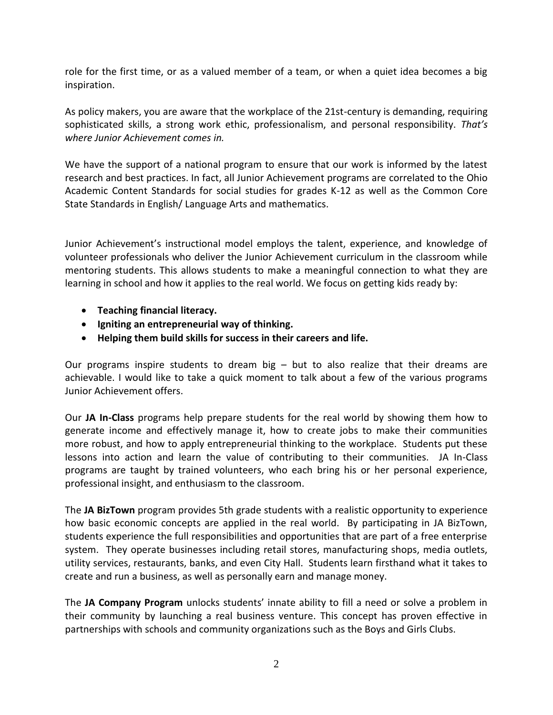role for the first time, or as a valued member of a team, or when a quiet idea becomes a big inspiration.

As policy makers, you are aware that the workplace of the 21st-century is demanding, requiring sophisticated skills, a strong work ethic, professionalism, and personal responsibility. *That's where Junior Achievement comes in.* 

We have the support of a national program to ensure that our work is informed by the latest research and best practices. In fact, all Junior Achievement programs are correlated to the Ohio Academic Content Standards for social studies for grades K-12 as well as the Common Core State Standards in English/ Language Arts and mathematics.

Junior Achievement's instructional model employs the talent, experience, and knowledge of volunteer professionals who deliver the Junior Achievement curriculum in the classroom while mentoring students. This allows students to make a meaningful connection to what they are learning in school and how it applies to the real world. We focus on getting kids ready by:

- **Teaching financial literacy.**
- **Igniting an entrepreneurial way of thinking.**
- **Helping them build skills for success in their careers and life.**

Our programs inspire students to dream big  $-$  but to also realize that their dreams are achievable. I would like to take a quick moment to talk about a few of the various programs Junior Achievement offers.

Our **JA In-Class** programs help prepare students for the real world by showing them how to generate income and effectively manage it, how to create jobs to make their communities more robust, and how to apply entrepreneurial thinking to the workplace. Students put these lessons into action and learn the value of contributing to their communities. JA In-Class programs are taught by trained volunteers, who each bring his or her personal experience, professional insight, and enthusiasm to the classroom.

The **JA BizTown** program provides 5th grade students with a realistic opportunity to experience how basic economic concepts are applied in the real world. By participating in JA BizTown, students experience the full responsibilities and opportunities that are part of a free enterprise system. They operate businesses including retail stores, manufacturing shops, media outlets, utility services, restaurants, banks, and even City Hall. Students learn firsthand what it takes to create and run a business, as well as personally earn and manage money.

The **JA Company Program** unlocks students' innate ability to fill a need or solve a problem in their community by launching a real business venture. This concept has proven effective in partnerships with schools and community organizations such as the Boys and Girls Clubs.